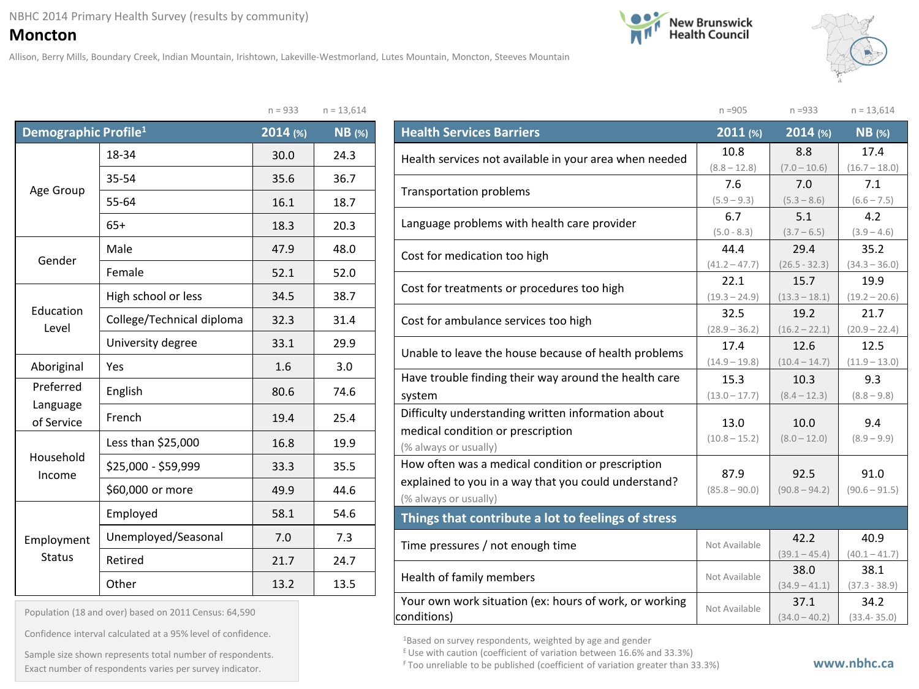## NBHC 2014 Primary Health Survey (results by community)

**Moncton**

Allison, Berry Mills, Boundary Creek, Indian Mountain, Irishtown, Lakeville-Westmorland, Lutes Mountain, Moncton, Steeves Mountain





n =905 n =933 n = 13,614

|                                  | 11 – JJJ                  | $11 - 13,014$                                                                                                      |               |
|----------------------------------|---------------------------|--------------------------------------------------------------------------------------------------------------------|---------------|
| Demographic Profile <sup>1</sup> |                           | 2014 (%)                                                                                                           | <b>NB</b> (%) |
|                                  | 18-34                     | 30.0                                                                                                               | 24.3          |
|                                  | 35-54                     | 35.6                                                                                                               | 36.7          |
| Age Group                        | 55-64                     | 16.1                                                                                                               | 18.7          |
|                                  | $65+$                     |                                                                                                                    | 20.3          |
| Gender                           | Male                      | 47.9                                                                                                               | 48.0          |
|                                  | Female                    | 18.3<br>52.1<br>34.5<br>32.3<br>33.1<br>1.6<br>80.6<br>19.4<br>16.8<br>33.3<br>49.9<br>58.1<br>7.0<br>21.7<br>13.2 | 52.0          |
| Education<br>Level               | High school or less       |                                                                                                                    | 38.7          |
|                                  | College/Technical diploma |                                                                                                                    | 31.4          |
|                                  | University degree         |                                                                                                                    | 29.9          |
| Aboriginal                       | Yes                       |                                                                                                                    | 3.0           |
| Preferred                        | English                   |                                                                                                                    | 74.6          |
| Language<br>of Service           | French                    |                                                                                                                    | 25.4          |
|                                  | Less than \$25,000        |                                                                                                                    | 19.9          |
| Household<br>Income              | \$25,000 - \$59,999       |                                                                                                                    | 35.5          |
|                                  | \$60,000 or more          |                                                                                                                    | 44.6          |
|                                  | Employed                  |                                                                                                                    | 54.6          |
| Employment                       | Unemployed/Seasonal       |                                                                                                                    | 7.3           |
| <b>Status</b>                    | Retired                   |                                                                                                                    | 24.7          |
|                                  | Other                     |                                                                                                                    | 13.5          |

| $n = 13,614$<br>$n = 933$ |  |
|---------------------------|--|
|---------------------------|--|

| <b>Health Services Barriers</b>                        | 2011 (%)        | 2014 (%)        | $NB$ (%)        |
|--------------------------------------------------------|-----------------|-----------------|-----------------|
| Health services not available in your area when needed | 10.8            | 8.8             | 17.4            |
|                                                        | $(8.8 - 12.8)$  | $(7.0 - 10.6)$  | $(16.7 - 18.0)$ |
| <b>Transportation problems</b>                         | 7.6             | 7.0             | 7.1             |
|                                                        | $(5.9 - 9.3)$   | $(5.3 - 8.6)$   | $(6.6 - 7.5)$   |
| Language problems with health care provider            | 6.7             | 5.1             | 4.2             |
|                                                        | $(5.0 - 8.3)$   | $(3.7 - 6.5)$   | $(3.9 - 4.6)$   |
| Cost for medication too high                           | 44.4            | 29.4            | 35.2            |
|                                                        | $(41.2 - 47.7)$ | $(26.5 - 32.3)$ | $(34.3 - 36.0)$ |
| Cost for treatments or procedures too high             | 22.1            | 15.7            | 19.9            |
|                                                        | $(19.3 - 24.9)$ | $(13.3 - 18.1)$ | $(19.2 - 20.6)$ |
| Cost for ambulance services too high                   | 32.5            | 19.2            | 21.7            |
|                                                        | $(28.9 - 36.2)$ | $(16.2 - 22.1)$ | $(20.9 - 22.4)$ |
|                                                        | 17.4            | 12.6            | 12.5            |
| Unable to leave the house because of health problems   | $(14.9 - 19.8)$ | $(10.4 - 14.7)$ | $(11.9 - 13.0)$ |
| Have trouble finding their way around the health care  | 15.3            | 10.3            | 9.3             |
| system                                                 | $(13.0 - 17.7)$ | $(8.4 - 12.3)$  | $(8.8 - 9.8)$   |
| Difficulty understanding written information about     |                 |                 |                 |
| medical condition or prescription                      | 13.0            | 10.0            | 9.4             |
| (% always or usually)                                  | $(10.8 - 15.2)$ | $(8.0 - 12.0)$  | $(8.9 - 9.9)$   |
| How often was a medical condition or prescription      |                 |                 |                 |
| explained to you in a way that you could understand?   | 87.9            | 92.5            | 91.0            |
| (% always or usually)                                  | $(85.8 - 90.0)$ | $(90.8 - 94.2)$ | $(90.6 - 91.5)$ |
| Things that contribute a lot to feelings of stress     |                 |                 |                 |
|                                                        |                 | 42.2            | 40.9            |
| Time pressures / not enough time                       | Not Available   | $(39.1 - 45.4)$ | $(40.1 - 41.7)$ |
|                                                        | Not Available   | 38.0            | 38.1            |
| Health of family members                               |                 | $(34.9 - 41.1)$ | $(37.3 - 38.9)$ |
| Your own work situation (ex: hours of work, or working | Not Available   | 37.1            | 34.2            |
| conditions)                                            |                 | $(34.0 - 40.2)$ | $(33.4 - 35.0)$ |

Population (18 and over) based on 2011 Census: 64,590

Confidence interval calculated at a 95% level of confidence.

Exact number of respondents varies per survey indicator. **Exact number of respondents varies per survey** indicator. Sample size shown represents total number of respondents.

<sup>1</sup>Based on survey respondents, weighted by age and gender

E Use with caution (coefficient of variation between 16.6% and 33.3%)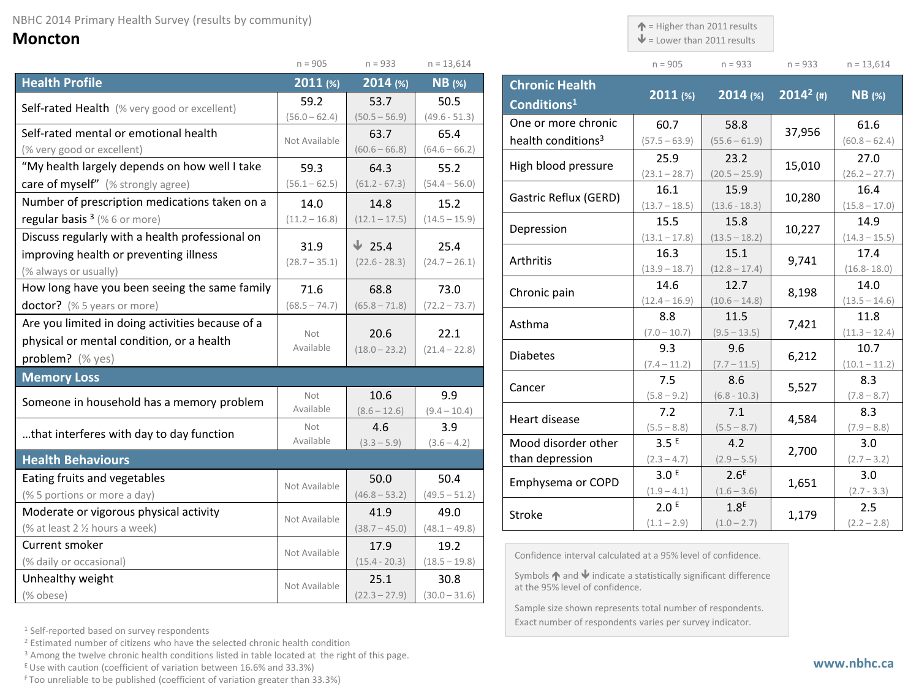## **Moncton**

|                                                  | $n = 905$       | $n = 933$       | $n = 13,614$    |  |
|--------------------------------------------------|-----------------|-----------------|-----------------|--|
| <b>Health Profile</b>                            | 2011(%)         | 2014 (%)        | <b>NB</b> (%)   |  |
| Self-rated Health (% very good or excellent)     | 59.2            | 53.7            | 50.5            |  |
|                                                  | $(56.0 - 62.4)$ | $(50.5 - 56.9)$ | $(49.6 - 51.3)$ |  |
| Self-rated mental or emotional health            | Not Available   | 63.7            | 65.4            |  |
| (% very good or excellent)                       |                 | $(60.6 - 66.8)$ | $(64.6 - 66.2)$ |  |
| "My health largely depends on how well I take    | 59.3            | 64.3            | 55.2            |  |
| care of myself" (% strongly agree)               | $(56.1 - 62.5)$ | $(61.2 - 67.3)$ | $(54.4 - 56.0)$ |  |
| Number of prescription medications taken on a    | 14.0            | 14.8            | 15.2            |  |
| regular basis $3$ (% 6 or more)                  | $(11.2 - 16.8)$ | $(12.1 - 17.5)$ | $(14.5 - 15.9)$ |  |
| Discuss regularly with a health professional on  | 31.9            | $\sqrt{25.4}$   | 25.4            |  |
| improving health or preventing illness           | $(28.7 - 35.1)$ | $(22.6 - 28.3)$ | $(24.7 - 26.1)$ |  |
| (% always or usually)                            |                 |                 |                 |  |
| How long have you been seeing the same family    | 71.6            | 68.8            | 73.0            |  |
| doctor? (% 5 years or more)                      | $(68.5 - 74.7)$ | $(65.8 - 71.8)$ | $(72.2 - 73.7)$ |  |
| Are you limited in doing activities because of a | Not             |                 |                 |  |
| physical or mental condition, or a health        | Available       | 20.6            | 22.1            |  |
| problem? (% yes)                                 |                 | $(18.0 - 23.2)$ | $(21.4 - 22.8)$ |  |
| <b>Memory Loss</b>                               |                 |                 |                 |  |
| Someone in household has a memory problem        | Not             | 10.6            | 9.9             |  |
|                                                  | Available       | $(8.6 - 12.6)$  | $(9.4 - 10.4)$  |  |
| that interferes with day to day function         | Not             | 4.6             | 3.9             |  |
|                                                  | Available       | $(3.3 - 5.9)$   | $(3.6 - 4.2)$   |  |
| <b>Health Behaviours</b>                         |                 |                 |                 |  |
| Eating fruits and vegetables                     | Not Available   | 50.0            | 50.4            |  |
| (% 5 portions or more a day)                     |                 | $(46.8 - 53.2)$ | $(49.5 - 51.2)$ |  |
| Moderate or vigorous physical activity           | Not Available   | 41.9            | 49.0            |  |
| (% at least 2 % hours a week)                    |                 | $(38.7 - 45.0)$ | $(48.1 - 49.8)$ |  |
| Current smoker                                   | Not Available   | 17.9            | 19.2            |  |
| (% daily or occasional)                          |                 | $(15.4 - 20.3)$ | $(18.5 - 19.8)$ |  |
| Unhealthy weight                                 | Not Available   | 25.1            | 30.8            |  |
| (% obese)                                        |                 | $(22.3 - 27.9)$ | $(30.0 - 31.6)$ |  |

| <b>Chronic Health</b><br>Conditions <sup>1</sup> | 2011 (%)                | $2014$ (%)              | $2014^2$ (#) | <b>NB</b> (%)           |
|--------------------------------------------------|-------------------------|-------------------------|--------------|-------------------------|
| One or more chronic                              | 60.7                    | 58.8                    | 37,956       | 61.6                    |
| health conditions <sup>3</sup>                   | $(57.5 - 63.9)$         | $(55.6 - 61.9)$         |              | $(60.8 - 62.4)$         |
| High blood pressure                              | 25.9<br>$(23.1 - 28.7)$ | 23.2<br>$(20.5 - 25.9)$ | 15,010       | 27.0                    |
|                                                  | 16.1                    | 15.9                    |              | $(26.2 - 27.7)$<br>16.4 |
| Gastric Reflux (GERD)                            | $(13.7 - 18.5)$         | $(13.6 - 18.3)$         | 10,280       | $(15.8 - 17.0)$         |
| Depression                                       | 15.5                    | 15.8                    | 10,227       | 14.9                    |
|                                                  | $(13.1 - 17.8)$         | $(13.5 - 18.2)$         |              | $(14.3 - 15.5)$         |
| Arthritis                                        | 16.3                    | 15.1                    | 9,741        | 17.4                    |
|                                                  | $(13.9 - 18.7)$         | $(12.8 - 17.4)$         |              | $(16.8 - 18.0)$         |
| Chronic pain                                     | 14.6                    | 12.7                    | 8,198        | 14.0                    |
|                                                  | $(12.4 - 16.9)$         | $(10.6 - 14.8)$         |              | $(13.5 - 14.6)$         |
| Asthma                                           | 8.8                     | 11.5                    | 7,421        | 11.8                    |
|                                                  | $(7.0 - 10.7)$          | $(9.5 - 13.5)$          |              | $(11.3 - 12.4)$         |
| <b>Diabetes</b>                                  | 9.3                     | 9.6                     | 6,212        | 10.7                    |
|                                                  | $(7.4 - 11.2)$          | $(7.7 - 11.5)$          |              | $(10.1 - 11.2)$         |
| Cancer                                           | 7.5                     | 8.6                     | 5,527        | 8.3                     |
|                                                  | $(5.8 - 9.2)$           | $(6.8 - 10.3)$          |              | $(7.8 - 8.7)$           |
| Heart disease                                    | 7.2                     | 7.1                     | 4,584        | 8.3                     |
|                                                  | $(5.5 - 8.8)$           | $(5.5 - 8.7)$           |              | $(7.9 - 8.8)$           |
| Mood disorder other                              | 3.5 <sup>E</sup>        | 4.2                     | 2,700        | 3.0                     |
| than depression                                  | $(2.3 - 4.7)$           | $(2.9 - 5.5)$           |              | $(2.7 - 3.2)$           |
| Emphysema or COPD                                | 3.0 <sup>E</sup>        | 2.6 <sup>E</sup>        | 1,651        | 3.0                     |
|                                                  | $(1.9 - 4.1)$           | $(1.6 - 3.6)$           |              | $(2.7 - 3.3)$           |
| <b>Stroke</b>                                    | 2.0 <sup>E</sup>        | 1.8 <sup>E</sup>        | 1,179        | 2.5                     |
|                                                  | $(1.1 - 2.9)$           | $(1.0 - 2.7)$           |              | $(2.2 - 2.8)$           |

 $\uparrow$  = Higher than 2011 results  $\mathbf{\Psi}$  = Lower than 2011 results

n = 905 n = 933 n = 933 n = 13,614

Confidence interval calculated at a 95% level of confidence.

Symbols  $\bigwedge$  and  $\bigvee$  indicate a statistically significant difference at the 95% level of confidence.

Sample size shown represents total number of respondents. Exact number of respondents varies per survey indicator.

<sup>1</sup> Self-reported based on survey respondents

<sup>2</sup> Estimated number of citizens who have the selected chronic health condition

<sup>3</sup> Among the twelve chronic health conditions listed in table located at the right of this page.

 $E$  Use with caution (coefficient of variation between 16.6% and 33.3%)

F Too unreliable to be published (coefficient of variation greater than 33.3%)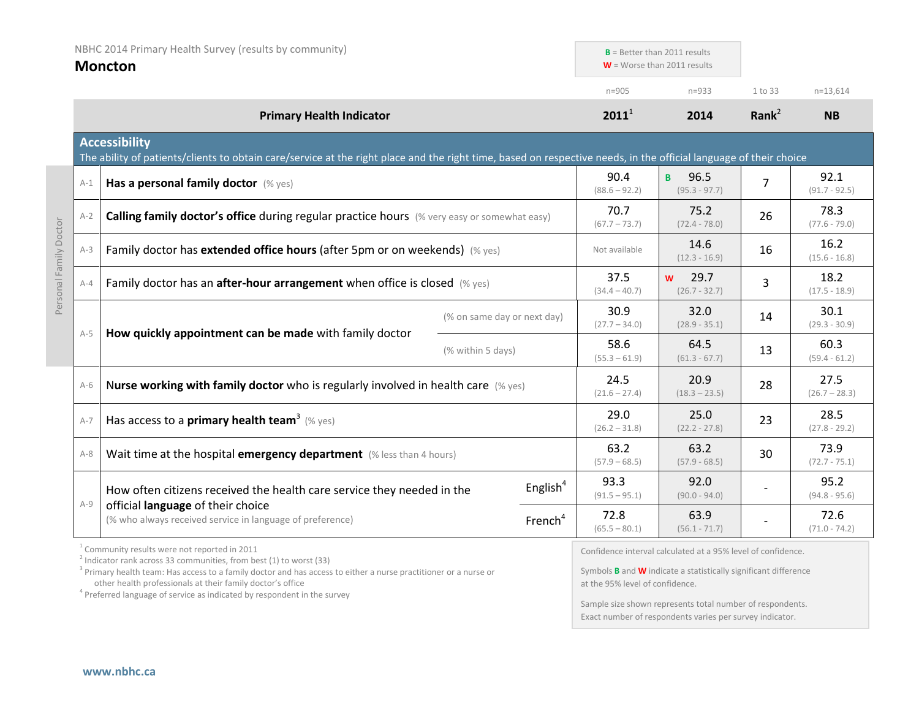| NBHC 2014 Primary Health Survey (results by community)<br><b>Moncton</b> |                                 | $B =$ Better than 2011 results<br>$W =$ Worse than 2011 results                                                                                                                                                                                                  |                             |                         |                              |                                                                                                                                     |                         |                         |
|--------------------------------------------------------------------------|---------------------------------|------------------------------------------------------------------------------------------------------------------------------------------------------------------------------------------------------------------------------------------------------------------|-----------------------------|-------------------------|------------------------------|-------------------------------------------------------------------------------------------------------------------------------------|-------------------------|-------------------------|
|                                                                          | <b>Primary Health Indicator</b> |                                                                                                                                                                                                                                                                  |                             |                         | $n = 905$                    | $n = 933$                                                                                                                           | 1 to 33                 | $n=13,614$              |
|                                                                          |                                 |                                                                                                                                                                                                                                                                  |                             | $2011^1$                | 2014                         | Rank $2$                                                                                                                            | <b>NB</b>               |                         |
|                                                                          |                                 | <b>Accessibility</b><br>The ability of patients/clients to obtain care/service at the right place and the right time, based on respective needs, in the official language of their choice                                                                        |                             |                         |                              |                                                                                                                                     |                         |                         |
|                                                                          | $A-1$                           | Has a personal family doctor (% yes)                                                                                                                                                                                                                             |                             |                         | 90.4<br>$(88.6 - 92.2)$      | 96.5<br>B.<br>$(95.3 - 97.7)$                                                                                                       | 7                       | 92.1<br>$(91.7 - 92.5)$ |
|                                                                          | $A-2$                           | Calling family doctor's office during regular practice hours (% very easy or somewhat easy)                                                                                                                                                                      |                             |                         | 70.7<br>$(67.7 - 73.7)$      | 75.2<br>$(72.4 - 78.0)$                                                                                                             | 26                      | 78.3<br>$(77.6 - 79.0)$ |
|                                                                          | $A-3$                           | Family doctor has extended office hours (after 5pm or on weekends) (% yes)                                                                                                                                                                                       |                             |                         | Not available                | 14.6<br>$(12.3 - 16.9)$                                                                                                             | 16                      | 16.2<br>$(15.6 - 16.8)$ |
| Personal Family Doctor                                                   | $A-4$                           | Family doctor has an after-hour arrangement when office is closed (% yes)                                                                                                                                                                                        |                             | 37.5<br>$(34.4 - 40.7)$ | 29.7<br>W<br>$(26.7 - 32.7)$ | 3                                                                                                                                   | 18.2<br>$(17.5 - 18.9)$ |                         |
|                                                                          |                                 | How quickly appointment can be made with family doctor                                                                                                                                                                                                           | (% on same day or next day) |                         | 30.9<br>$(27.7 - 34.0)$      | 32.0<br>$(28.9 - 35.1)$                                                                                                             | 14                      | 30.1<br>$(29.3 - 30.9)$ |
|                                                                          | $A-5$                           |                                                                                                                                                                                                                                                                  | (% within 5 days)           |                         | 58.6<br>$(55.3 - 61.9)$      | 64.5<br>$(61.3 - 67.7)$                                                                                                             | 13                      | 60.3<br>$(59.4 - 61.2)$ |
|                                                                          | $A-6$                           | Nurse working with family doctor who is regularly involved in health care (% yes)                                                                                                                                                                                |                             |                         | 24.5<br>$(21.6 - 27.4)$      | 20.9<br>$(18.3 - 23.5)$                                                                                                             | 28                      | 27.5<br>$(26.7 - 28.3)$ |
|                                                                          | $A-7$                           | Has access to a <b>primary health team<sup>3</sup></b> (% yes)                                                                                                                                                                                                   |                             |                         | 29.0<br>$(26.2 - 31.8)$      | 25.0<br>$(22.2 - 27.8)$                                                                                                             | 23                      | 28.5<br>$(27.8 - 29.2)$ |
|                                                                          | $A-8$                           | Wait time at the hospital emergency department (% less than 4 hours)                                                                                                                                                                                             |                             |                         | 63.2<br>$(57.9 - 68.5)$      | 63.2<br>$(57.9 - 68.5)$                                                                                                             | 30                      | 73.9<br>$(72.7 - 75.1)$ |
|                                                                          | $A-9$                           | How often citizens received the health care service they needed in the                                                                                                                                                                                           |                             | English $4$             | 93.3<br>$(91.5 - 95.1)$      | 92.0<br>$(90.0 - 94.0)$                                                                                                             |                         | 95.2<br>$(94.8 - 95.6)$ |
|                                                                          |                                 | official language of their choice<br>(% who always received service in language of preference)                                                                                                                                                                   |                             | French <sup>4</sup>     | 72.8<br>$(65.5 - 80.1)$      | 63.9<br>$(56.1 - 71.7)$                                                                                                             |                         | 72.6<br>$(71.0 - 74.2)$ |
|                                                                          |                                 | <sup>1</sup> Community results were not reported in 2011<br>$2$ Indicator rank across 33 communities, from best (1) to worst (33)<br><sup>3</sup> Primary health team: Has access to a family doctor and has access to either a nurse practitioner or a nurse or |                             |                         |                              | Confidence interval calculated at a 95% level of confidence.<br>Symbols $B$ and $W$ indicate a statistically significant difference |                         |                         |

other health professionals at their family doctor's office<br><sup>4</sup> Preferred language of service as indicated by respondent in the survey

at the 95% level of confidence.

Sample size shown represents total number of respondents. Exact number of respondents varies per survey indicator.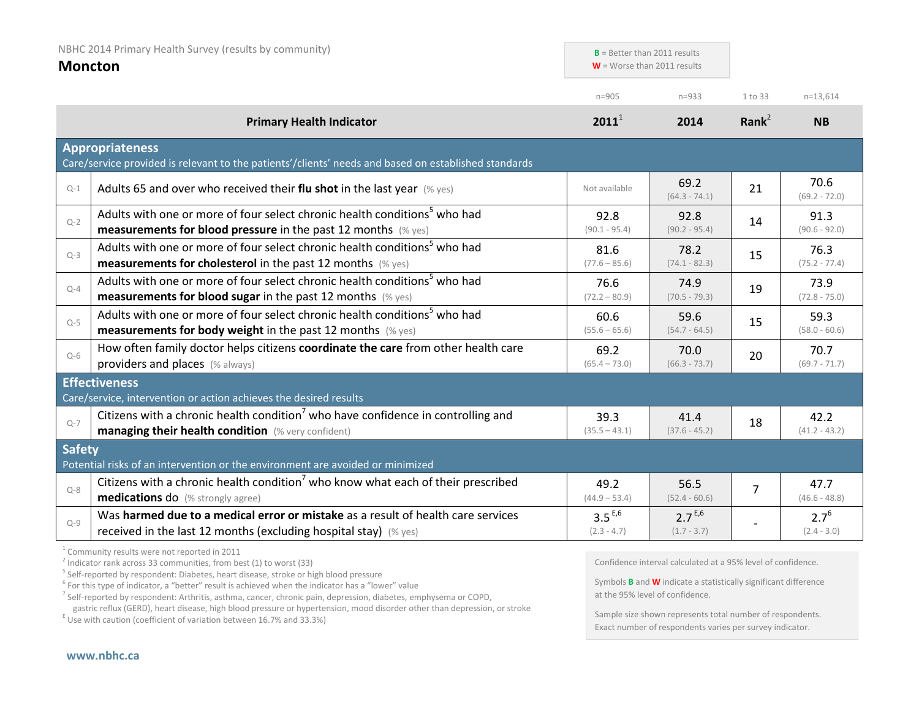| NBHC 2014 Primary Health Survey (results by community)<br><b>Moncton</b> |                                                                                                                                                                                                                         | $B =$ Better than 2011 results<br>$W =$ Worse than 2011 results |                              |                |                            |
|--------------------------------------------------------------------------|-------------------------------------------------------------------------------------------------------------------------------------------------------------------------------------------------------------------------|-----------------------------------------------------------------|------------------------------|----------------|----------------------------|
|                                                                          |                                                                                                                                                                                                                         | $n = 905$                                                       | $n = 933$                    | 1 to 33        | $n=13,614$                 |
|                                                                          | <b>Primary Health Indicator</b>                                                                                                                                                                                         | $2011^1$                                                        | 2014                         | Rank $2$       | <b>NB</b>                  |
|                                                                          | <b>Appropriateness</b><br>Care/service provided is relevant to the patients'/clients' needs and based on established standards                                                                                          |                                                                 |                              |                |                            |
| $Q-1$                                                                    | Adults 65 and over who received their flu shot in the last year $(\%$ yes)                                                                                                                                              | Not available                                                   | 69.2<br>$(64.3 - 74.1)$      | 21             | 70.6<br>$(69.2 - 72.0)$    |
| $Q-2$                                                                    | Adults with one or more of four select chronic health conditions <sup>5</sup> who had<br><b>measurements for blood pressure</b> in the past 12 months $(\%$ yes)                                                        | 92.8<br>$(90.1 - 95.4)$                                         | 92.8<br>$(90.2 - 95.4)$      | 14             | 91.3<br>$(90.6 - 92.0)$    |
| $Q-3$                                                                    | Adults with one or more of four select chronic health conditions <sup>5</sup> who had<br><b>measurements for cholesterol</b> in the past 12 months (% yes)                                                              | 81.6<br>$(77.6 - 85.6)$                                         | 78.2<br>$(74.1 - 82.3)$      | 15             | 76.3<br>$(75.2 - 77.4)$    |
| $Q - 4$                                                                  | Adults with one or more of four select chronic health conditions <sup>5</sup> who had<br><b>measurements for blood sugar in the past 12 months</b> (% yes)                                                              | 76.6<br>$(72.2 - 80.9)$                                         | 74.9<br>$(70.5 - 79.3)$      | 19             | 73.9<br>$(72.8 - 75.0)$    |
| $Q-5$                                                                    | Adults with one or more of four select chronic health conditions <sup>5</sup> who had<br><b>measurements for body weight</b> in the past 12 months (% yes)                                                              | 60.6<br>$(55.6 - 65.6)$                                         | 59.6<br>$(54.7 - 64.5)$      | 15             | 59.3<br>$(58.0 - 60.6)$    |
| $O-6$                                                                    | How often family doctor helps citizens coordinate the care from other health care<br>providers and places (% always)                                                                                                    | 69.2<br>$(65.4 - 73.0)$                                         | 70.0<br>$(66.3 - 73.7)$      | 20             | 70.7<br>$(69.7 - 71.7)$    |
|                                                                          | <b>Effectiveness</b>                                                                                                                                                                                                    |                                                                 |                              |                |                            |
| $O - 7$                                                                  | Care/service, intervention or action achieves the desired results<br>Citizens with a chronic health condition <sup>7</sup> who have confidence in controlling and<br>managing their health condition (% very confident) | 39.3<br>$(35.5 - 43.1)$                                         | 41.4<br>$(37.6 - 45.2)$      | 18             | 42.2<br>$(41.2 - 43.2)$    |
| <b>Safety</b>                                                            | Potential risks of an intervention or the environment are avoided or minimized                                                                                                                                          |                                                                 |                              |                |                            |
| $Q - 8$                                                                  | Citizens with a chronic health condition <sup>7</sup> who know what each of their prescribed<br><b>medications do</b> (% strongly agree)                                                                                | 49.2<br>$(44.9 - 53.4)$                                         | 56.5<br>$(52.4 - 60.6)$      | $\overline{7}$ | 47.7<br>$(46.6 - 48.8)$    |
| $Q-9$                                                                    | Was harmed due to a medical error or mistake as a result of health care services<br>received in the last 12 months (excluding hospital stay) (% yes)                                                                    | $3.5^{E,6}$<br>$(2.3 - 4.7)$                                    | $2.7^{E,6}$<br>$(1.7 - 3.7)$ |                | $2.7^{6}$<br>$(2.4 - 3.0)$ |

<sup>1</sup> Community results were not reported in 2011

 $^{2}$  Indicator rank across 33 communities, from best (1) to worst (33)

<sup>5</sup> Self-reported by respondent: Diabetes, heart disease, stroke or high blood pressure

 $6$  For this type of indicator, a "better" result is achieved when the indicator has a "lower" value

<sup>7</sup> Self-reported by respondent: Arthritis, asthma, cancer, chronic pain, depression, diabetes, emphysema or COPD,

gastric reflux (GERD), heart disease, high blood pressure or hypertension, mood disorder other than depression, or stroke E Use with caution (coefficient of variation between 16.7% and 33.3%)

Confidence interval calculated at a 95% level of confidence.

Symbols **B** and **W** indicate a statistically significant difference at the 95% level of confidence.

Sample size shown represents total number of respondents. Exact number of respondents varies per survey indicator.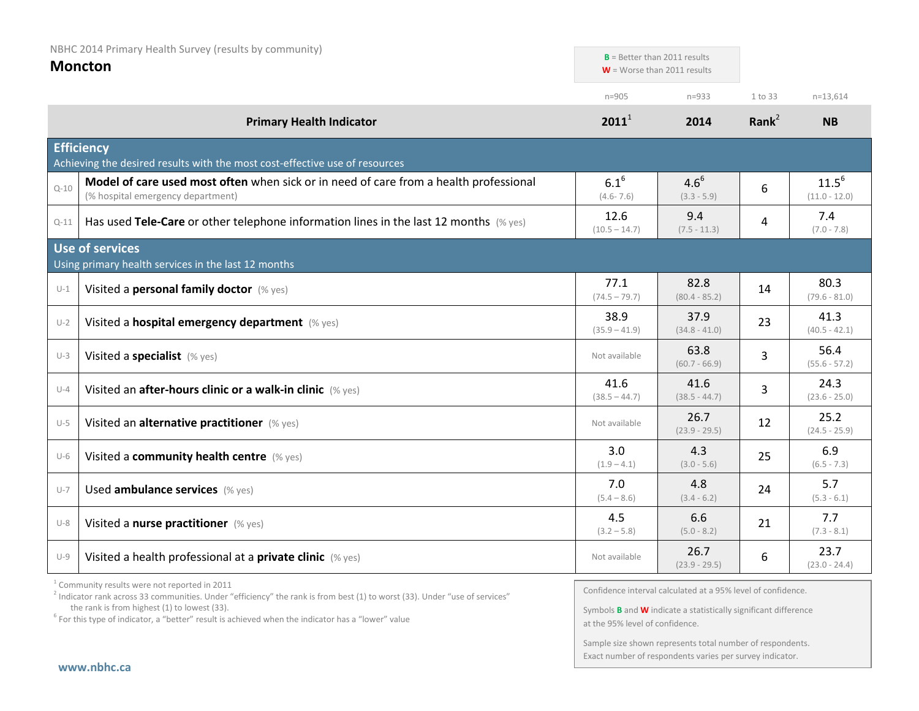| NBHC 2014 Primary Health Survey (results by community) |                                                                                                                            | $B$ = Better than 2011 results |                               |                   |                               |
|--------------------------------------------------------|----------------------------------------------------------------------------------------------------------------------------|--------------------------------|-------------------------------|-------------------|-------------------------------|
|                                                        | <b>Moncton</b>                                                                                                             |                                | $W =$ Worse than 2011 results |                   |                               |
|                                                        |                                                                                                                            | $n = 905$                      | $n = 933$                     | 1 to 33           | $n=13,614$                    |
|                                                        | <b>Primary Health Indicator</b>                                                                                            | $2011^1$                       | 2014                          | Rank <sup>2</sup> | <b>NB</b>                     |
|                                                        | <b>Efficiency</b><br>Achieving the desired results with the most cost-effective use of resources                           |                                |                               |                   |                               |
| $Q - 10$                                               | Model of care used most often when sick or in need of care from a health professional<br>(% hospital emergency department) | $6.1^{6}$<br>$(4.6 - 7.6)$     | $4.6^{6}$<br>$(3.3 - 5.9)$    | 6                 | $11.5^{6}$<br>$(11.0 - 12.0)$ |
| $Q-11$                                                 | Has used Tele-Care or other telephone information lines in the last 12 months $(\%$ yes)                                   | 12.6<br>$(10.5 - 14.7)$        | 9.4<br>$(7.5 - 11.3)$         | 4                 | 7.4<br>$(7.0 - 7.8)$          |
|                                                        | <b>Use of services</b><br>Using primary health services in the last 12 months                                              |                                |                               |                   |                               |
| $U-1$                                                  | Visited a personal family doctor (% yes)                                                                                   | 77.1<br>$(74.5 - 79.7)$        | 82.8<br>$(80.4 - 85.2)$       | 14                | 80.3<br>$(79.6 - 81.0)$       |
| $U-2$                                                  | Visited a hospital emergency department (% yes)                                                                            | 38.9<br>$(35.9 - 41.9)$        | 37.9<br>$(34.8 - 41.0)$       | 23                | 41.3<br>$(40.5 - 42.1)$       |
| $U-3$                                                  | Visited a specialist (% yes)                                                                                               | Not available                  | 63.8<br>$(60.7 - 66.9)$       | 3                 | 56.4<br>$(55.6 - 57.2)$       |
| $U-4$                                                  | Visited an after-hours clinic or a walk-in clinic (% yes)                                                                  | 41.6<br>$(38.5 - 44.7)$        | 41.6<br>$(38.5 - 44.7)$       | 3                 | 24.3<br>$(23.6 - 25.0)$       |
| $U-5$                                                  | Visited an alternative practitioner (% yes)                                                                                | Not available                  | 26.7<br>$(23.9 - 29.5)$       | 12                | 25.2<br>$(24.5 - 25.9)$       |
| $U-6$                                                  | Visited a community health centre (% yes)                                                                                  | 3.0<br>$(1.9 - 4.1)$           | 4.3<br>$(3.0 - 5.6)$          | 25                | 6.9<br>$(6.5 - 7.3)$          |
| $U - 7$                                                | Used ambulance services (% yes)                                                                                            | 7.0<br>$(5.4 - 8.6)$           | 4.8<br>$(3.4 - 6.2)$          | 24                | 5.7<br>$(5.3 - 6.1)$          |
| $U-8$                                                  | Visited a nurse practitioner (% yes)                                                                                       | 4.5<br>$(3.2 - 5.8)$           | 6.6<br>$(5.0 - 8.2)$          | 21                | 7.7<br>$(7.3 - 8.1)$          |
| $U-9$                                                  | Visited a health professional at a private clinic (% yes)                                                                  | Not available                  | 26.7<br>$(23.9 - 29.5)$       | 6                 | 23.7<br>$(23.0 - 24.4)$       |

<sup>1</sup> Community results were not reported in 2011

Confidence interval calculated at a 95% level of confidence.

Symbols **B** and **W** indicate a statistically significant difference at the 95% level of confidence.

Sample size shown represents total number of respondents. Exact number of respondents varies per survey indicator.

<sup>&</sup>lt;sup>2</sup> Indicator rank across 33 communities. Under "efficiency" the rank is from best (1) to worst (33). Under "use of services" the rank is from highest (1) to lowest (33).

 $6$  For this type of indicator, a "better" result is achieved when the indicator has a "lower" value